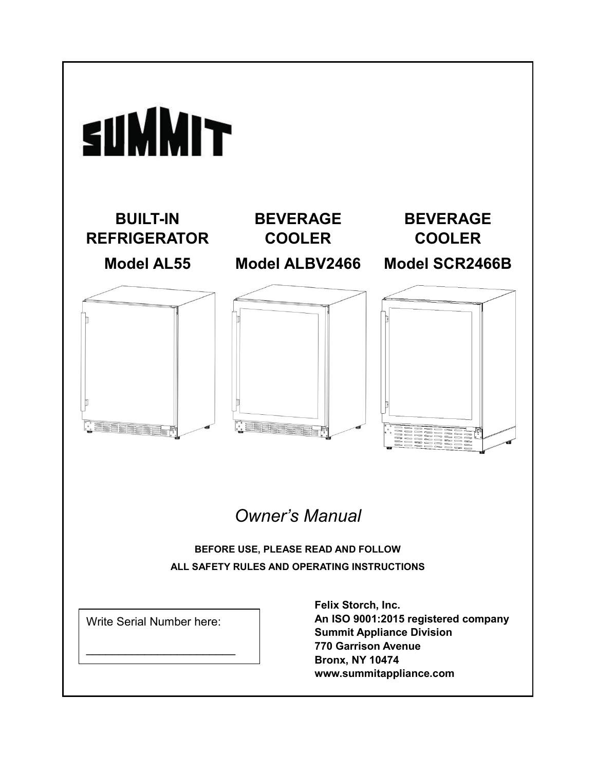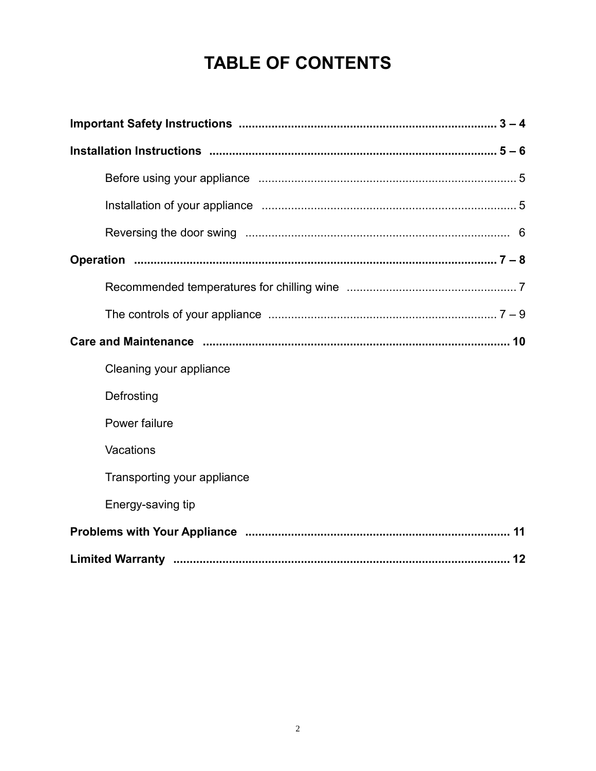# **TABLE OF CONTENTS**

| Cleaning your appliance     |
|-----------------------------|
| Defrosting                  |
| Power failure               |
| Vacations                   |
| Transporting your appliance |
| Energy-saving tip           |
|                             |
|                             |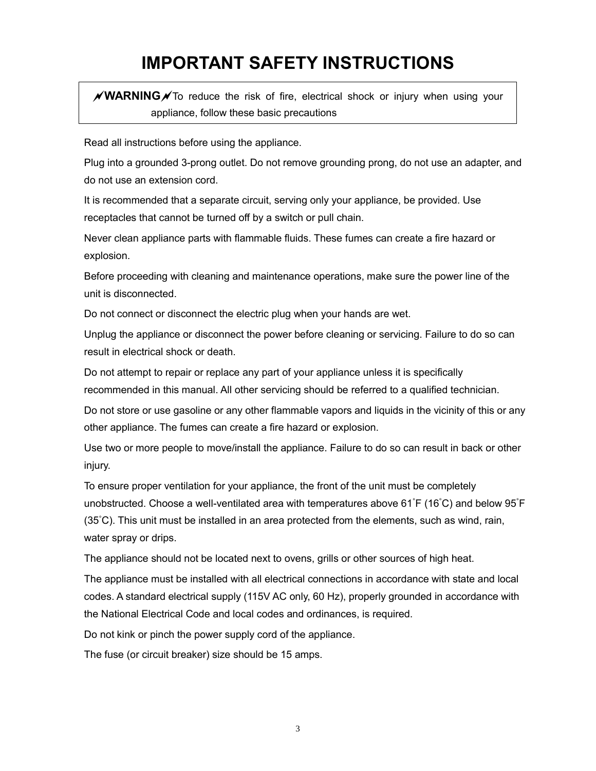# **IMPORTANT SAFETY INSTRUCTIONS**

**∕ WARNING**∕ To reduce the risk of fire, electrical shock or injury when using your appliance, follow these basic precautions

Read all instructions before using the appliance.

Plug into a grounded 3-prong outlet. Do not remove grounding prong, do not use an adapter, and do not use an extension cord.

It is recommended that a separate circuit, serving only your appliance, be provided. Use receptacles that cannot be turned off by a switch or pull chain.

Never clean appliance parts with flammable fluids. These fumes can create a fire hazard or explosion.

Before proceeding with cleaning and maintenance operations, make sure the power line of the unit is disconnected.

Do not connect or disconnect the electric plug when your hands are wet.

Unplug the appliance or disconnect the power before cleaning or servicing. Failure to do so can result in electrical shock or death.

Do not attempt to repair or replace any part of your appliance unless it is specifically recommended in this manual. All other servicing should be referred to a qualified technician.

Do not store or use gasoline or any other flammable vapors and liquids in the vicinity of this or any other appliance. The fumes can create a fire hazard or explosion.

Use two or more people to move/install the appliance. Failure to do so can result in back or other injury.

To ensure proper ventilation for your appliance, the front of the unit must be completely unobstructed. Choose a well-ventilated area with temperatures above 61°F (16°C) and below 95°F (35°C). This unit must be installed in an area protected from the elements, such as wind, rain, water spray or drips.

The appliance should not be located next to ovens, grills or other sources of high heat.

The appliance must be installed with all electrical connections in accordance with state and local codes. A standard electrical supply (115V AC only, 60 Hz), properly grounded in accordance with the National Electrical Code and local codes and ordinances, is required.

Do not kink or pinch the power supply cord of the appliance.

The fuse (or circuit breaker) size should be 15 amps.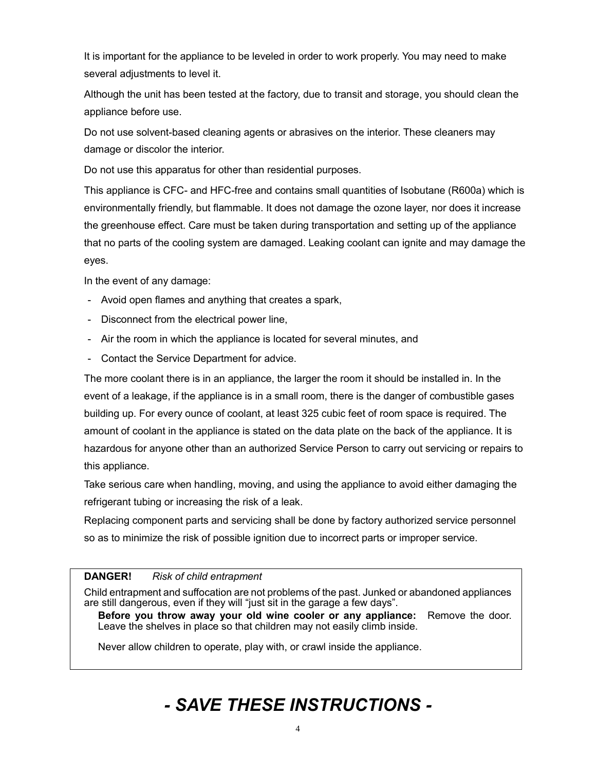It is important for the appliance to be leveled in order to work properly. You may need to make several adjustments to level it.

Although the unit has been tested at the factory, due to transit and storage, you should clean the appliance before use.

Do not use solvent-based cleaning agents or abrasives on the interior. These cleaners may damage or discolor the interior.

Do not use this apparatus for other than residential purposes.

This appliance is CFC- and HFC-free and contains small quantities of Isobutane (R600a) which is environmentally friendly, but flammable. It does not damage the ozone layer, nor does it increase the greenhouse effect. Care must be taken during transportation and setting up of the appliance that no parts of the cooling system are damaged. Leaking coolant can ignite and may damage the eyes.

In the event of any damage:

- Avoid open flames and anything that creates a spark,
- Disconnect from the electrical power line,
- Air the room in which the appliance is located for several minutes, and
- Contact the Service Department for advice.

The more coolant there is in an appliance, the larger the room it should be installed in. In the event of a leakage, if the appliance is in a small room, there is the danger of combustible gases building up. For every ounce of coolant, at least 325 cubic feet of room space is required. The amount of coolant in the appliance is stated on the data plate on the back of the appliance. It is hazardous for anyone other than an authorized Service Person to carry out servicing or repairs to this appliance.

Take serious care when handling, moving, and using the appliance to avoid either damaging the refrigerant tubing or increasing the risk of a leak.

Replacing component parts and servicing shall be done by factory authorized service personnel so as to minimize the risk of possible ignition due to incorrect parts or improper service.

#### **DANGER!** *Risk of child entrapment*

Child entrapment and suffocation are not problems of the past. Junked or abandoned appliances are still dangerous, even if they will "just sit in the garage a few days".

**Before you throw away your old wine cooler or any appliance:** Remove the door. Leave the shelves in place so that children may not easily climb inside.

Never allow children to operate, play with, or crawl inside the appliance.

# *- SAVE THESE INSTRUCTIONS -*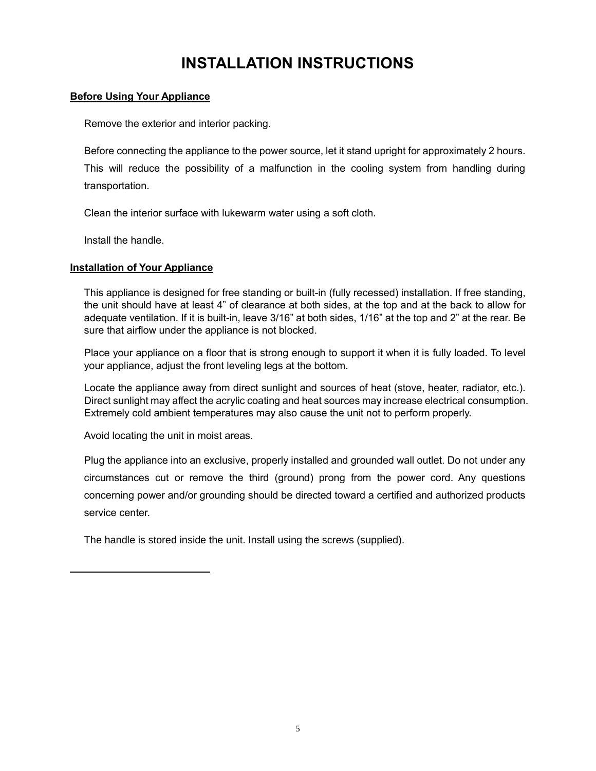## **INSTALLATION INSTRUCTIONS**

#### **Before Using Your Appliance**

Remove the exterior and interior packing.

Before connecting the appliance to the power source, let it stand upright for approximately 2 hours. This will reduce the possibility of a malfunction in the cooling system from handling during transportation.

Clean the interior surface with lukewarm water using a soft cloth.

Install the handle.

#### **Installation of Your Appliance**

This appliance is designed for free standing or built-in (fully recessed) installation. If free standing, the unit should have at least 4" of clearance at both sides, at the top and at the back to allow for adequate ventilation. If it is built-in, leave 3/16" at both sides, 1/16" at the top and 2" at the rear. Be sure that airflow under the appliance is not blocked.

Place your appliance on a floor that is strong enough to support it when it is fully loaded. To level your appliance, adjust the front leveling legs at the bottom.

Locate the appliance away from direct sunlight and sources of heat (stove, heater, radiator, etc.). Direct sunlight may affect the acrylic coating and heat sources may increase electrical consumption. Extremely cold ambient temperatures may also cause the unit not to perform properly.

Avoid locating the unit in moist areas.

Plug the appliance into an exclusive, properly installed and grounded wall outlet. Do not under any circumstances cut or remove the third (ground) prong from the power cord. Any questions concerning power and/or grounding should be directed toward a certified and authorized products service center.

The handle is stored inside the unit. Install using the screws (supplied).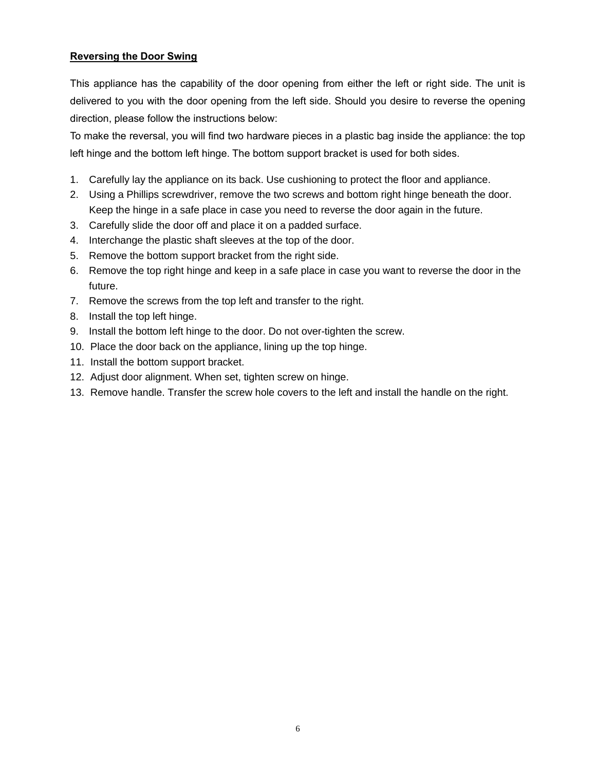#### **Reversing the Door Swing**

This appliance has the capability of the door opening from either the left or right side. The unit is delivered to you with the door opening from the left side. Should you desire to reverse the opening direction, please follow the instructions below:

To make the reversal, you will find two hardware pieces in a plastic bag inside the appliance: the top left hinge and the bottom left hinge. The bottom support bracket is used for both sides.

- 1. Carefully lay the appliance on its back. Use cushioning to protect the floor and appliance.
- 2. Using a Phillips screwdriver, remove the two screws and bottom right hinge beneath the door. Keep the hinge in a safe place in case you need to reverse the door again in the future.
- 3. Carefully slide the door off and place it on a padded surface.
- 4. Interchange the plastic shaft sleeves at the top of the door.
- 5. Remove the bottom support bracket from the right side.
- 6. Remove the top right hinge and keep in a safe place in case you want to reverse the door in the future.
- 7. Remove the screws from the top left and transfer to the right.
- 8. Install the top left hinge.
- 9. Install the bottom left hinge to the door. Do not over-tighten the screw.
- 10. Place the door back on the appliance, lining up the top hinge.
- 11. Install the bottom support bracket.
- 12. Adjust door alignment. When set, tighten screw on hinge.
- 13. Remove handle. Transfer the screw hole covers to the left and install the handle on the right.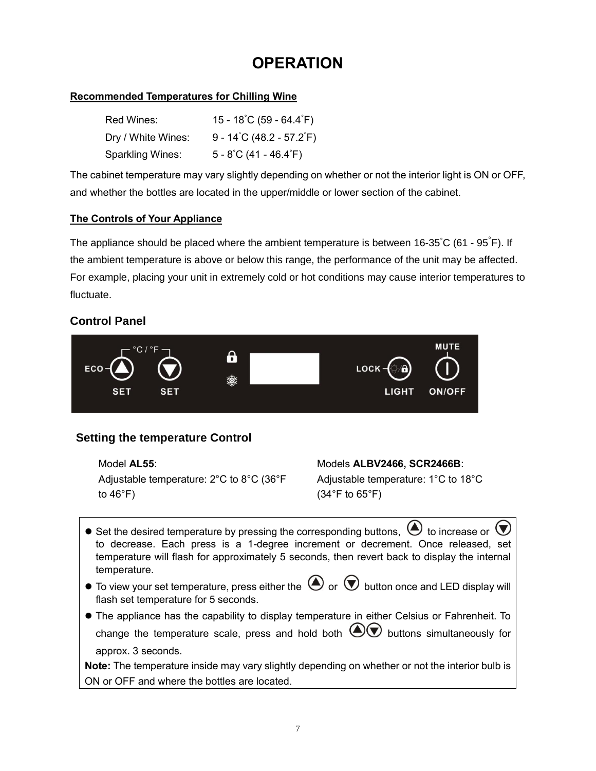## **OPERATION**

#### **Recommended Temperatures for Chilling Wine**

| Red Wines:         | $15 - 18^{\circ}$ C (59 - 64.4 $^{\circ}$ F) |
|--------------------|----------------------------------------------|
| Dry / White Wines: | 9 - 14°C (48.2 - 57.2°F)                     |
| Sparkling Wines:   | $5 - 8^{\circ}$ C (41 - 46.4 $^{\circ}$ F)   |

The cabinet temperature may vary slightly depending on whether or not the interior light is ON or OFF, and whether the bottles are located in the upper/middle or lower section of the cabinet.

#### **The Controls of Your Appliance**

The appliance should be placed where the ambient temperature is between 16-35°C (61 - 95°F). If the ambient temperature is above or below this range, the performance of the unit may be affected. For example, placing your unit in extremely cold or hot conditions may cause interior temperatures to fluctuate.

### **Control Panel**



### **Setting the temperature Control**

Adjustable temperature: 2°C to 8°C (36°F to  $46^{\circ}$ F)

#### Model **AL55**: Models **ALBV2466, SCR2466B**:

Adjustable temperature: 1°C to 18°C (34°F to 65°F)

- $\bullet$  Set the desired temperature by pressing the corresponding buttons,  $\bullet$  to increase or  $\left(\blacktriangledown\right)$ to decrease. Each press is a 1-degree increment or decrement. Once released, set temperature will flash for approximately 5 seconds, then revert back to display the internal temperature.
- $\bullet$  To view your set temperature, press either the  $\bigcirc$  or  $\bigcirc$  button once and LED display will flash set temperature for 5 seconds.
- ⚫ The appliance has the capability to display temperature in either Celsius or Fahrenheit. To change the temperature scale, press and hold both  $\bigcircled{C}$  buttons simultaneously for approx. 3 seconds.

**Note:** The temperature inside may vary slightly depending on whether or not the interior bulb is ON or OFF and where the bottles are located.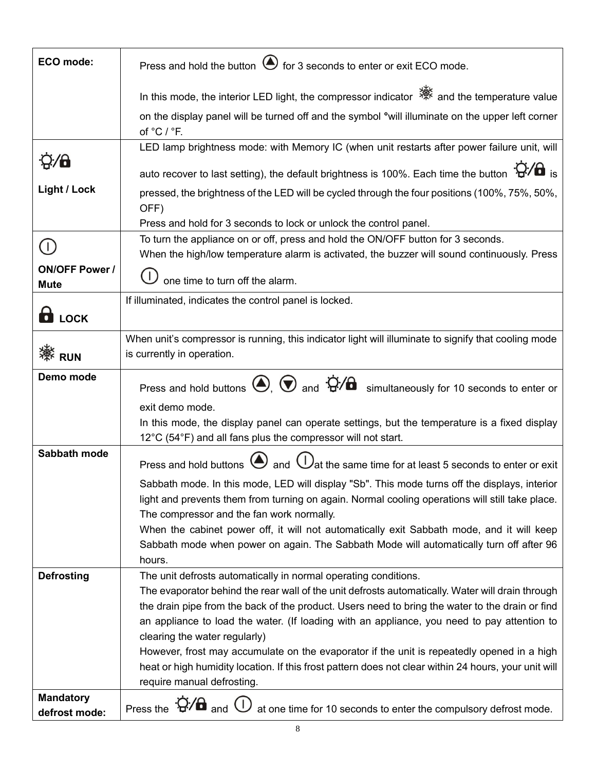| ECO mode:              | Press and hold the button $\bigcirc$ for 3 seconds to enter or exit ECO mode.                                                                                                                       |
|------------------------|-----------------------------------------------------------------------------------------------------------------------------------------------------------------------------------------------------|
|                        | In this mode, the interior LED light, the compressor indicator ※ and the temperature value                                                                                                          |
|                        | on the display panel will be turned off and the symbol °will illuminate on the upper left corner<br>of °C / °F.                                                                                     |
|                        | LED lamp brightness mode: with Memory IC (when unit restarts after power failure unit, will                                                                                                         |
| $\dot{Q}/\partial$     | auto recover to last setting), the default brightness is 100%. Each time the button $\mathbf{Q}/\mathbf{G}$ is                                                                                      |
| <b>Light / Lock</b>    | pressed, the brightness of the LED will be cycled through the four positions (100%, 75%, 50%,<br>OFF)                                                                                               |
|                        | Press and hold for 3 seconds to lock or unlock the control panel.                                                                                                                                   |
| $(\Gamma)$             | To turn the appliance on or off, press and hold the ON/OFF button for 3 seconds.                                                                                                                    |
| <b>ON/OFF Power /</b>  | When the high/low temperature alarm is activated, the buzzer will sound continuously. Press                                                                                                         |
| <b>Mute</b>            | one time to turn off the alarm.                                                                                                                                                                     |
|                        | If illuminated, indicates the control panel is locked.                                                                                                                                              |
| $\mathbf{\Theta}$ LOCK |                                                                                                                                                                                                     |
|                        | When unit's compressor is running, this indicator light will illuminate to signify that cooling mode                                                                                                |
| :<br>※<br>RUN          | is currently in operation.                                                                                                                                                                          |
| Demo mode              | Press and hold buttons $\bigcircled{)}$ , $\bigcircled{)}$ and $\bigcircled{)}$ and simultaneously for 10 seconds to enter or                                                                       |
|                        | exit demo mode.                                                                                                                                                                                     |
|                        | In this mode, the display panel can operate settings, but the temperature is a fixed display                                                                                                        |
|                        | 12°C (54°F) and all fans plus the compressor will not start.                                                                                                                                        |
| Sabbath mode           | Press and hold buttons $\bigoplus$ and $\bigcup$ at the same time for at least 5 seconds to enter or exit                                                                                           |
|                        | Sabbath mode. In this mode, LED will display "Sb". This mode turns off the displays, interior                                                                                                       |
|                        | light and prevents them from turning on again. Normal cooling operations will still take place.<br>The compressor and the fan work normally.                                                        |
|                        | When the cabinet power off, it will not automatically exit Sabbath mode, and it will keep                                                                                                           |
|                        | Sabbath mode when power on again. The Sabbath Mode will automatically turn off after 96                                                                                                             |
|                        | hours.                                                                                                                                                                                              |
| <b>Defrosting</b>      | The unit defrosts automatically in normal operating conditions.                                                                                                                                     |
|                        | The evaporator behind the rear wall of the unit defrosts automatically. Water will drain through<br>the drain pipe from the back of the product. Users need to bring the water to the drain or find |
|                        | an appliance to load the water. (If loading with an appliance, you need to pay attention to                                                                                                         |
|                        | clearing the water regularly)                                                                                                                                                                       |
|                        | However, frost may accumulate on the evaporator if the unit is repeatedly opened in a high                                                                                                          |
|                        | heat or high humidity location. If this frost pattern does not clear within 24 hours, your unit will<br>require manual defrosting.                                                                  |
| <b>Mandatory</b>       |                                                                                                                                                                                                     |
| defrost mode:          | Press the $\ddot{Q}$ / $\theta$ and $\ddot{O}$ at one time for 10 seconds to enter the compulsory defrost mode.                                                                                     |

8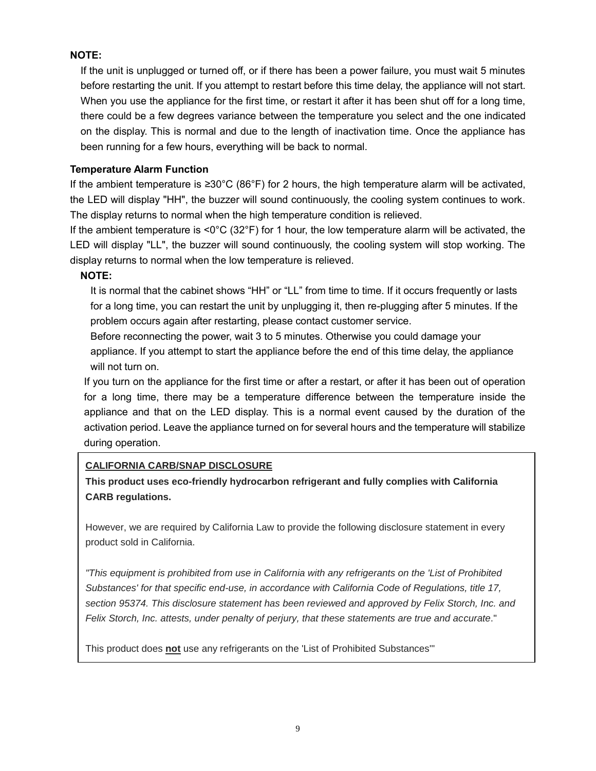#### **NOTE:**

If the unit is unplugged or turned off, or if there has been a power failure, you must wait 5 minutes before restarting the unit. If you attempt to restart before this time delay, the appliance will not start. When you use the appliance for the first time, or restart it after it has been shut off for a long time, there could be a few degrees variance between the temperature you select and the one indicated on the display. This is normal and due to the length of inactivation time. Once the appliance has been running for a few hours, everything will be back to normal.

#### **Temperature Alarm Function**

If the ambient temperature is ≥30°C (86°F) for 2 hours, the high temperature alarm will be activated, the LED will display "HH", the buzzer will sound continuously, the cooling system continues to work. The display returns to normal when the high temperature condition is relieved.

If the ambient temperature is <0°C (32°F) for 1 hour, the low temperature alarm will be activated, the LED will display "LL", the buzzer will sound continuously, the cooling system will stop working. The display returns to normal when the low temperature is relieved.

#### **NOTE:**

It is normal that the cabinet shows "HH" or "LL" from time to time. If it occurs frequently or lasts for a long time, you can restart the unit by unplugging it, then re-plugging after 5 minutes. If the problem occurs again after restarting, please contact customer service.

Before reconnecting the power, wait 3 to 5 minutes. Otherwise you could damage your appliance. If you attempt to start the appliance before the end of this time delay, the appliance will not turn on.

If you turn on the appliance for the first time or after a restart, or after it has been out of operation for a long time, there may be a temperature difference between the temperature inside the appliance and that on the LED display. This is a normal event caused by the duration of the activation period. Leave the appliance turned on for several hours and the temperature will stabilize during operation.

#### **CALIFORNIA CARB/SNAP DISCLOSURE**

**This product uses eco-friendly hydrocarbon refrigerant and fully complies with California CARB regulations.**

However, we are required by California Law to provide the following disclosure statement in every product sold in California.

*"This equipment is prohibited from use in California with any refrigerants on the 'List of Prohibited Substances' for that specific end-use, in accordance with California Code of Regulations, title 17, section 95374. This disclosure statement has been reviewed and approved by Felix Storch, Inc. and Felix Storch, Inc. attests, under penalty of perjury, that these statements are true and accurate*."

This product does **not** use any refrigerants on the 'List of Prohibited Substances'"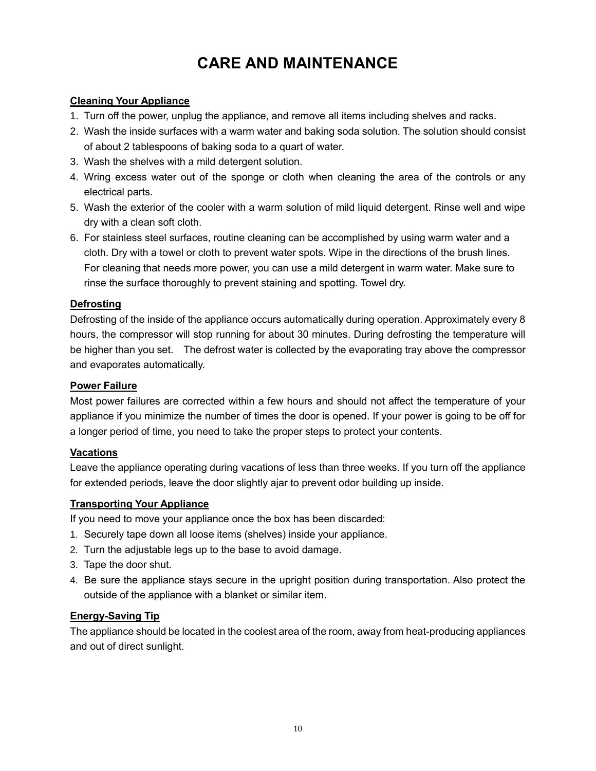## **CARE AND MAINTENANCE**

#### **Cleaning Your Appliance**

- 1. Turn off the power, unplug the appliance, and remove all items including shelves and racks.
- 2. Wash the inside surfaces with a warm water and baking soda solution. The solution should consist of about 2 tablespoons of baking soda to a quart of water.
- 3. Wash the shelves with a mild detergent solution.
- 4. Wring excess water out of the sponge or cloth when cleaning the area of the controls or any electrical parts.
- 5. Wash the exterior of the cooler with a warm solution of mild liquid detergent. Rinse well and wipe dry with a clean soft cloth.
- 6. For stainless steel surfaces, routine cleaning can be accomplished by using warm water and a cloth. Dry with a towel or cloth to prevent water spots. Wipe in the directions of the brush lines. For cleaning that needs more power, you can use a mild detergent in warm water. Make sure to rinse the surface thoroughly to prevent staining and spotting. Towel dry.

#### **Defrosting**

Defrosting of the inside of the appliance occurs automatically during operation. Approximately every 8 hours, the compressor will stop running for about 30 minutes. During defrosting the temperature will be higher than you set. The defrost water is collected by the evaporating tray above the compressor and evaporates automatically.

#### **Power Failure**

Most power failures are corrected within a few hours and should not affect the temperature of your appliance if you minimize the number of times the door is opened. If your power is going to be off for a longer period of time, you need to take the proper steps to protect your contents.

#### **Vacations**

Leave the appliance operating during vacations of less than three weeks. If you turn off the appliance for extended periods, leave the door slightly ajar to prevent odor building up inside.

#### **Transporting Your Appliance**

If you need to move your appliance once the box has been discarded:

- 1. Securely tape down all loose items (shelves) inside your appliance.
- 2. Turn the adjustable legs up to the base to avoid damage.
- 3. Tape the door shut.
- 4. Be sure the appliance stays secure in the upright position during transportation. Also protect the outside of the appliance with a blanket or similar item.

#### **Energy-Saving Tip**

The appliance should be located in the coolest area of the room, away from heat-producing appliances and out of direct sunlight.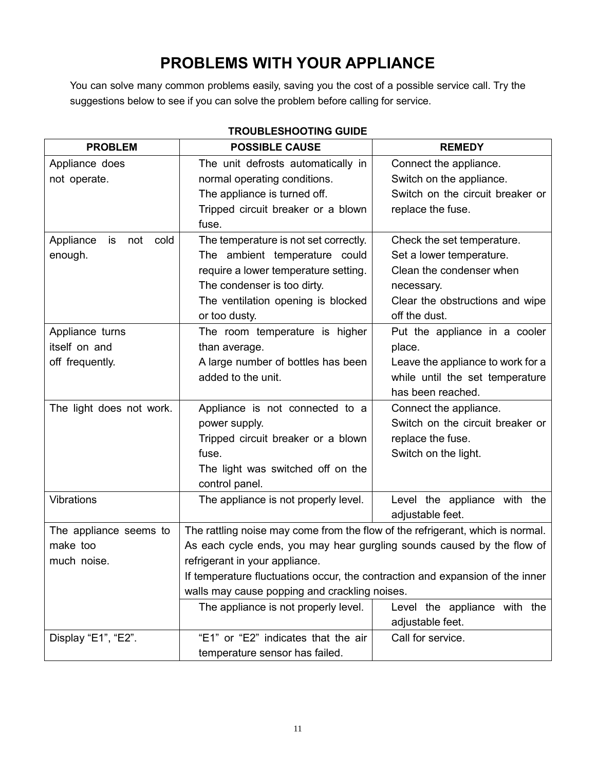## **PROBLEMS WITH YOUR APPLIANCE**

You can solve many common problems easily, saving you the cost of a possible service call. Try the suggestions below to see if you can solve the problem before calling for service.

| <b>PROBLEM</b>                 | <b>POSSIBLE CAUSE</b>                                                          | <b>REMEDY</b>                     |  |
|--------------------------------|--------------------------------------------------------------------------------|-----------------------------------|--|
| Appliance does                 | The unit defrosts automatically in                                             | Connect the appliance.            |  |
| not operate.                   | normal operating conditions.                                                   | Switch on the appliance.          |  |
|                                | The appliance is turned off.                                                   | Switch on the circuit breaker or  |  |
|                                | Tripped circuit breaker or a blown                                             | replace the fuse.                 |  |
|                                | fuse.                                                                          |                                   |  |
| Appliance<br>is<br>not<br>cold | The temperature is not set correctly.                                          | Check the set temperature.        |  |
| enough.                        | The ambient temperature could                                                  | Set a lower temperature.          |  |
|                                | require a lower temperature setting.                                           | Clean the condenser when          |  |
|                                | The condenser is too dirty.                                                    | necessary.                        |  |
|                                | The ventilation opening is blocked                                             | Clear the obstructions and wipe   |  |
|                                | or too dusty.                                                                  | off the dust.                     |  |
| Appliance turns                | The room temperature is higher                                                 | Put the appliance in a cooler     |  |
| itself on and                  | than average.                                                                  | place.                            |  |
| off frequently.                | A large number of bottles has been                                             | Leave the appliance to work for a |  |
|                                | added to the unit.                                                             | while until the set temperature   |  |
|                                |                                                                                | has been reached.                 |  |
| The light does not work.       | Appliance is not connected to a                                                | Connect the appliance.            |  |
|                                | power supply.                                                                  | Switch on the circuit breaker or  |  |
|                                | Tripped circuit breaker or a blown                                             | replace the fuse.                 |  |
|                                | fuse.                                                                          | Switch on the light.              |  |
|                                | The light was switched off on the                                              |                                   |  |
|                                | control panel.                                                                 |                                   |  |
| Vibrations                     | The appliance is not properly level.                                           | Level the appliance with the      |  |
|                                |                                                                                | adjustable feet.                  |  |
| The appliance seems to         | The rattling noise may come from the flow of the refrigerant, which is normal. |                                   |  |
| make too                       | As each cycle ends, you may hear gurgling sounds caused by the flow of         |                                   |  |
| much noise.                    | refrigerant in your appliance.                                                 |                                   |  |
|                                | If temperature fluctuations occur, the contraction and expansion of the inner  |                                   |  |
|                                | walls may cause popping and crackling noises.                                  |                                   |  |
|                                | The appliance is not properly level.                                           | Level the appliance with the      |  |
|                                |                                                                                | adjustable feet.                  |  |
| Display "E1", "E2".            | "E1" or "E2" indicates that the air                                            | Call for service.                 |  |
|                                | temperature sensor has failed.                                                 |                                   |  |

### **TROUBLESHOOTING GUIDE**